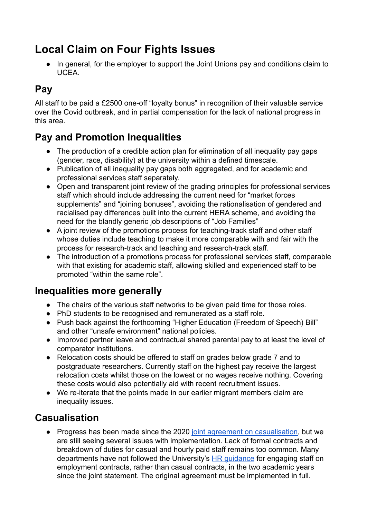# **Local Claim on Four Fights Issues**

In general, for the employer to support the Joint Unions pay and conditions claim to **UCEA** 

# **Pay**

All staff to be paid a £2500 one-off "loyalty bonus" in recognition of their valuable service over the Covid outbreak, and in partial compensation for the lack of national progress in this area.

## **Pay and Promotion Inequalities**

- The production of a credible action plan for elimination of all inequality pay gaps (gender, race, disability) at the university within a defined timescale.
- Publication of all inequality pay gaps both aggregated, and for academic and professional services staff separately.
- Open and transparent joint review of the grading principles for professional services staff which should include addressing the current need for "market forces supplements" and "joining bonuses", avoiding the rationalisation of gendered and racialised pay differences built into the current HERA scheme, and avoiding the need for the blandly generic job descriptions of "Job Families"
- A joint review of the promotions process for teaching-track staff and other staff whose duties include teaching to make it more comparable with and fair with the process for research-track and teaching and research-track staff.
- The introduction of a promotions process for professional services staff, comparable with that existing for academic staff, allowing skilled and experienced staff to be promoted "within the same role".

#### **Inequalities more generally**

- The chairs of the various staff networks to be given paid time for those roles.
- PhD students to be recognised and remunerated as a staff role.
- Push back against the forthcoming "Higher Education (Freedom of Speech) Bill" and other "unsafe environment" national policies.
- Improved partner leave and contractual shared parental pay to at least the level of comparator institutions.
- Relocation costs should be offered to staff on grades below grade 7 and to postgraduate researchers. Currently staff on the highest pay receive the largest relocation costs whilst those on the lowest or no wages receive nothing. Covering these costs would also potentially aid with recent recruitment issues.
- We re-iterate that the points made in our earlier migrant members claim are inequality issues.

### **Casualisation**

• Progress has been made since the 2020 joint agreement [on casualisation,](http://durhamucu.org.uk/joint-statement-on-casualisation/) but we are still seeing several issues with implementation. Lack of formal contracts and breakdown of duties for casual and hourly paid staff remains too common. Many departments have not followed the University's HR [guidance](https://www.dur.ac.uk/internal/hr/recruitment/flexibleappointments/guidance/) for engaging staff on employment contracts, rather than casual contracts, in the two academic years since the joint statement. The original agreement must be implemented in full.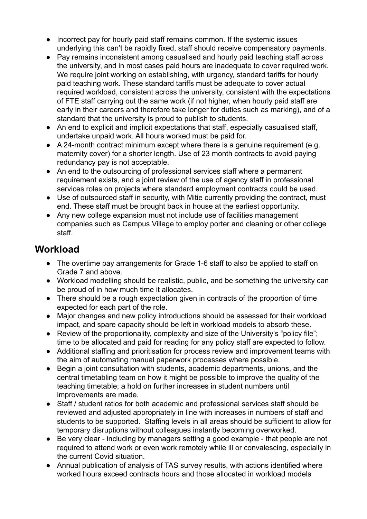- Incorrect pay for hourly paid staff remains common. If the systemic issues underlying this can't be rapidly fixed, staff should receive compensatory payments.
- Pay remains inconsistent among casualised and hourly paid teaching staff across the university, and in most cases paid hours are inadequate to cover required work. We require joint working on establishing, with urgency, standard tariffs for hourly paid teaching work. These standard tariffs must be adequate to cover actual required workload, consistent across the university, consistent with the expectations of FTE staff carrying out the same work (if not higher, when hourly paid staff are early in their careers and therefore take longer for duties such as marking), and of a standard that the university is proud to publish to students.
- An end to explicit and implicit expectations that staff, especially casualised staff, undertake unpaid work. All hours worked must be paid for.
- A 24-month contract minimum except where there is a genuine requirement (e.g. maternity cover) for a shorter length. Use of 23 month contracts to avoid paying redundancy pay is not acceptable.
- An end to the outsourcing of professional services staff where a permanent requirement exists, and a joint review of the use of agency staff in professional services roles on projects where standard employment contracts could be used.
- Use of outsourced staff in security, with Mitie currently providing the contract, must end. These staff must be brought back in house at the earliest opportunity.
- Any new college expansion must not include use of facilities management companies such as Campus Village to employ porter and cleaning or other college staff.

### **Workload**

- The overtime pay arrangements for Grade 1-6 staff to also be applied to staff on Grade 7 and above.
- Workload modelling should be realistic, public, and be something the university can be proud of in how much time it allocates.
- There should be a rough expectation given in contracts of the proportion of time expected for each part of the role.
- Major changes and new policy introductions should be assessed for their workload impact, and spare capacity should be left in workload models to absorb these.
- Review of the proportionality, complexity and size of the University's "policy file"; time to be allocated and paid for reading for any policy staff are expected to follow.
- Additional staffing and prioritisation for process review and improvement teams with the aim of automating manual paperwork processes where possible.
- Begin a joint consultation with students, academic departments, unions, and the central timetabling team on how it might be possible to improve the quality of the teaching timetable; a hold on further increases in student numbers until improvements are made.
- Staff / student ratios for both academic and professional services staff should be reviewed and adjusted appropriately in line with increases in numbers of staff and students to be supported. Staffing levels in all areas should be sufficient to allow for temporary disruptions without colleagues instantly becoming overworked.
- Be very clear including by managers setting a good example that people are not required to attend work or even work remotely while ill or convalescing, especially in the current Covid situation.
- Annual publication of analysis of TAS survey results, with actions identified where worked hours exceed contracts hours and those allocated in workload models